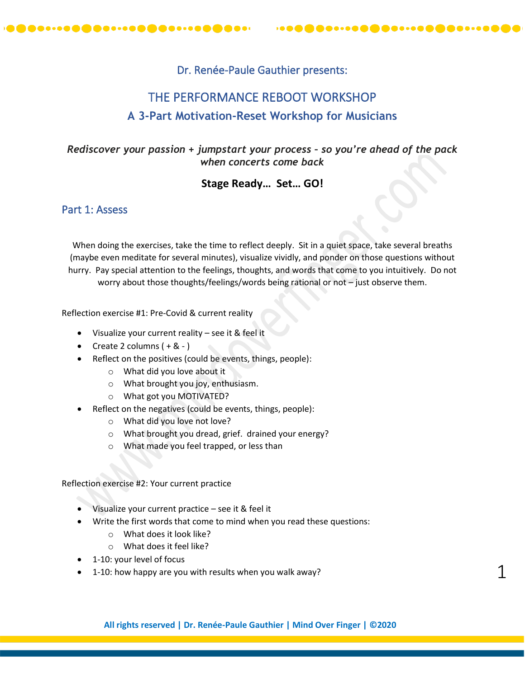

# Dr. Renée-Paule Gauthier presents:

# THE PERFORMANCE REBOOT WORKSHOP **A 3-Part Motivation-Reset Workshop for Musicians**

*Rediscover your passion + jumpstart your process – so you're ahead of the pack when concerts come back*

# **Stage Ready… Set… GO!**

# Part 1: Assess

When doing the exercises, take the time to reflect deeply. Sit in a quiet space, take several breaths (maybe even meditate for several minutes), visualize vividly, and ponder on those questions without hurry. Pay special attention to the feelings, thoughts, and words that come to you intuitively. Do not worry about those thoughts/feelings/words being rational or not – just observe them.

Reflection exercise #1: Pre-Covid & current reality

- Visualize your current reality see it & feel it
- Create 2 columns  $(+ 8 -)$
- Reflect on the positives (could be events, things, people):
	- o What did you love about it
	- o What brought you joy, enthusiasm.
	- o What got you MOTIVATED?
- Reflect on the negatives (could be events, things, people):
	- o What did you love not love?
	- o What brought you dread, grief. drained your energy?
	- o What made you feel trapped, or less than

Reflection exercise #2: Your current practice

- Visualize your current practice see it & feel it
- Write the first words that come to mind when you read these questions:
	- o What does it look like?
		- o What does it feel like?
- 1-10: your level of focus
- 1-10: how happy are you with results when you walk away?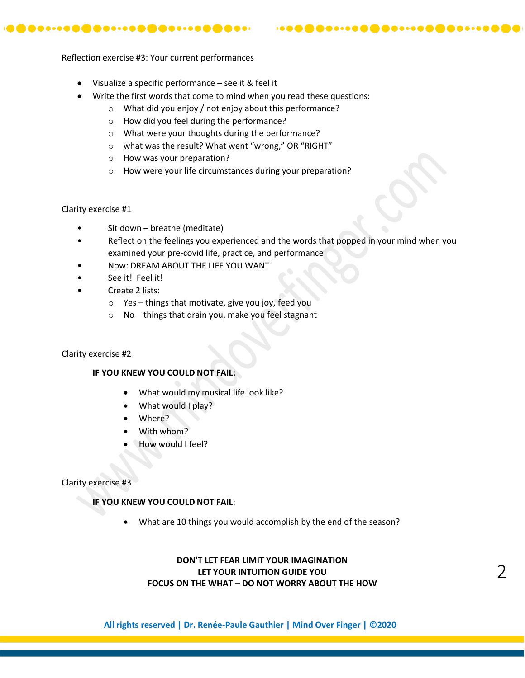Reflection exercise #3: Your current performances

- Visualize a specific performance see it & feel it
- Write the first words that come to mind when you read these questions:
	- o What did you enjoy / not enjoy about this performance?
	- o How did you feel during the performance?
	- o What were your thoughts during the performance?
	- o what was the result? What went "wrong," OR "RIGHT"
	- o How was your preparation?
	- o How were your life circumstances during your preparation?

Clarity exercise #1

- Sit down breathe (meditate)
- Reflect on the feelings you experienced and the words that popped in your mind when you examined your pre-covid life, practice, and performance

 $\mathbf{1} \oplus \mathbf{0} \oplus \mathbf{0} \oplus \mathbf{0} \oplus \mathbf{0} \oplus \mathbf{0} \oplus \mathbf{0} \oplus \mathbf{0} \oplus \mathbf{0} \oplus \mathbf{0} \oplus \mathbf{0} \oplus \mathbf{0} \oplus \mathbf{0} \oplus \mathbf{0} \oplus \mathbf{0} \oplus \mathbf{0} \oplus \mathbf{0} \oplus \mathbf{0} \oplus \mathbf{0} \oplus \mathbf{0} \oplus \mathbf{0} \oplus \mathbf{0} \oplus \mathbf{0} \oplus \mathbf{0} \oplus \mathbf{$ 

- Now: DREAM ABOUT THE LIFE YOU WANT
- See it! Feel it!
- Create 2 lists:
	- o Yes things that motivate, give you joy, feed you
	- o No things that drain you, make you feel stagnant

#### Clarity exercise #2

#### **IF YOU KNEW YOU COULD NOT FAIL:**

- What would my musical life look like?
- What would I play?
- Where?
- With whom?
- How would I feel?

#### Clarity exercise #3

#### **IF YOU KNEW YOU COULD NOT FAIL**:

• What are 10 things you would accomplish by the end of the season?

### **DON'T LET FEAR LIMIT YOUR IMAGINATION LET YOUR INTUITION GUIDE YOU FOCUS ON THE WHAT – DO NOT WORRY ABOUT THE HOW**

**All rights reserved | Dr. Renée-Paule Gauthier | Mind Over Finger | ©2020**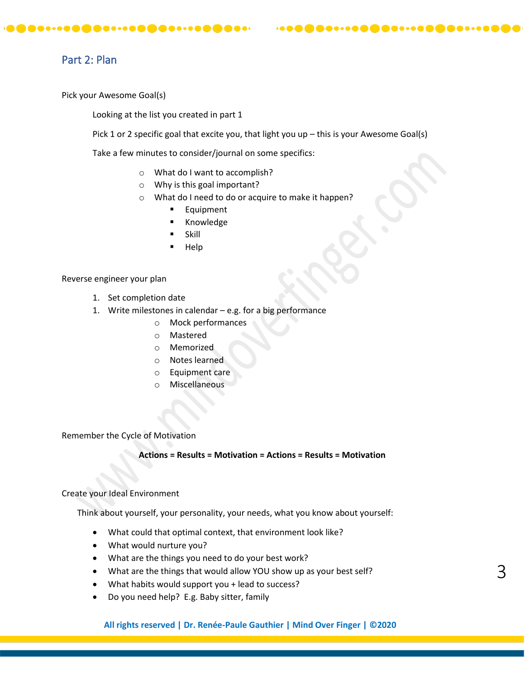# Part 2: Plan

Pick your Awesome Goal(s)

Looking at the list you created in part 1

Pick 1 or 2 specific goal that excite you, that light you up – this is your Awesome Goal(s)

Take a few minutes to consider/journal on some specifics:

- o What do I want to accomplish?
- o Why is this goal important?
- o What do I need to do or acquire to make it happen?
	- **Equipment**
	- **Knowledge**
	- **Skill**
	- **Help**

#### Reverse engineer your plan

- 1. Set completion date
- 1. Write milestones in calendar e.g. for a big performance
	- o Mock performances
	- o Mastered
	- o Memorized
	- o Notes learned
	- o Equipment care
	- o Miscellaneous

Remember the Cycle of Motivation

#### **Actions = Results = Motivation = Actions = Results = Motivation**

#### Create your Ideal Environment

Think about yourself, your personality, your needs, what you know about yourself:

- What could that optimal context, that environment look like?
- What would nurture you?
- What are the things you need to do your best work?
- What are the things that would allow YOU show up as your best self?
- What habits would support you + lead to success?
- Do you need help? E.g. Baby sitter, family

**All rights reserved | Dr. Renée-Paule Gauthier | Mind Over Finger | ©2020**